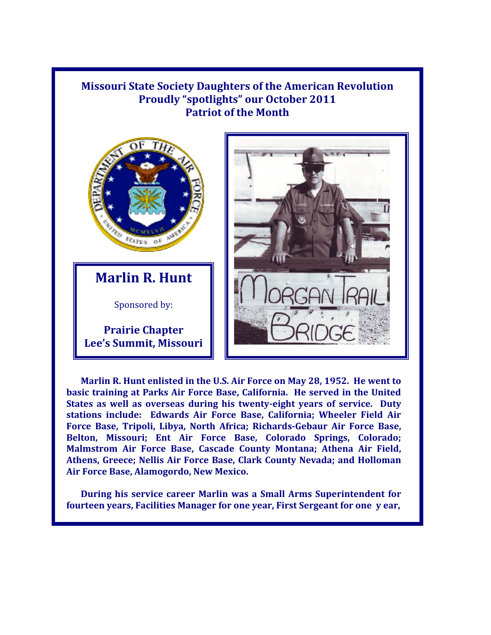## **Missouri State Society Daughters of the American Revolution Proudly "spotlights" our October 2011 Patriot of the Month**



**Marlin R. Hunt** 

Sponsored by:

**Prairie Chapter Lee's Summit, Missouri** 



 **Air Force Base, Alamogordo, New Mexico. Marlin R. Hunt enlisted in the U.S. Air Force on May 28, 1952. He went to basic training at Parks Air Force Base, California. He served in the United States as well as overseas during his twenty-eight years of service. Duty stations include: Edwards Air Force Base, California; Wheeler Field Air Force Base, Tripoli, Libya, North Africa; Richards-Gebaur Air Force Base, Belton, Missouri; Ent Air Force Base, Colorado Springs, Colorado; Malmstrom Air Force Base, Cascade County Montana; Athena Air Field, Athens, Greece; Nellis Air Force Base, Clark County Nevada; and Holloman** 

**During his service career Marlin was a Small Arms Superintendent for fourteen years, Facilities Manager for one year, First Sergeant for one y ear,**